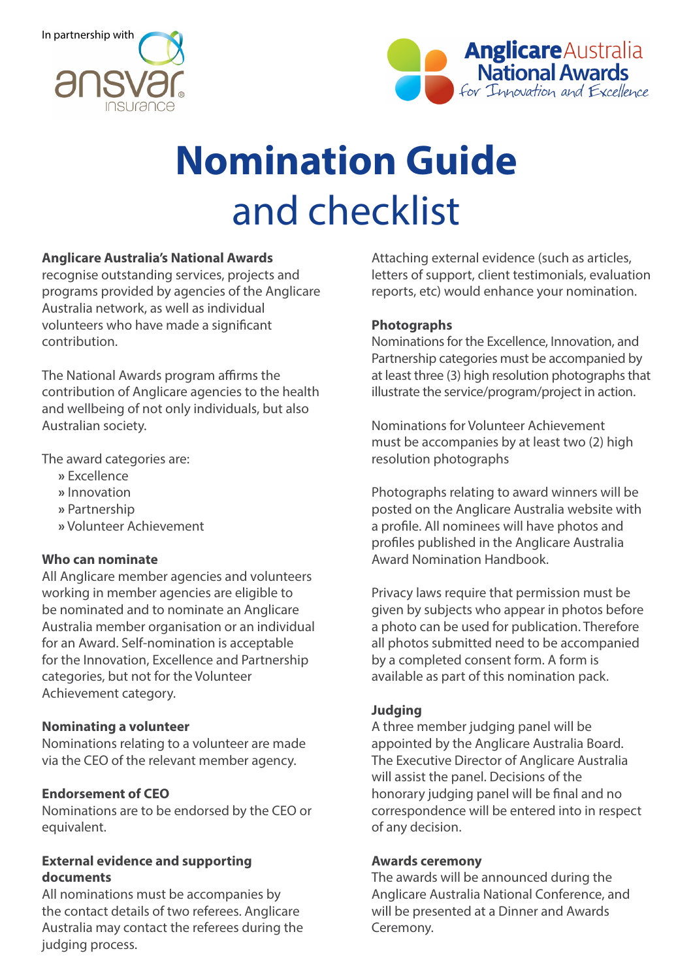



# **Nomination Guide** and checklist

# **Anglicare Australia's National Awards**

recognise outstanding services, projects and programs provided by agencies of the Anglicare Australia network, as well as individual volunteers who have made a significant contribution.

The National Awards program affirms the contribution of Anglicare agencies to the health and wellbeing of not only individuals, but also Australian society.

The award categories are:

- **»** Excellence
- **»** Innovation
- **»** Partnership
- **»** Volunteer Achievement

# **Who can nominate**

All Anglicare member agencies and volunteers working in member agencies are eligible to be nominated and to nominate an Anglicare Australia member organisation or an individual for an Award. Self-nomination is acceptable for the Innovation, Excellence and Partnership categories, but not for the Volunteer Achievement category.

#### **Nominating a volunteer**

Nominations relating to a volunteer are made via the CEO of the relevant member agency.

# **Endorsement of CEO**

Nominations are to be endorsed by the CEO or equivalent.

#### **External evidence and supporting documents**

All nominations must be accompanies by the contact details of two referees. Anglicare Australia may contact the referees during the judging process.

Attaching external evidence (such as articles, letters of support, client testimonials, evaluation reports, etc) would enhance your nomination.

### **Photographs**

Nominations for the Excellence, Innovation, and Partnership categories must be accompanied by at least three (3) high resolution photographs that illustrate the service/program/project in action.

Nominations for Volunteer Achievement must be accompanies by at least two (2) high resolution photographs

Photographs relating to award winners will be posted on the Anglicare Australia website with a profile. All nominees will have photos and profiles published in the Anglicare Australia Award Nomination Handbook.

Privacy laws require that permission must be given by subjects who appear in photos before a photo can be used for publication. Therefore all photos submitted need to be accompanied by a completed consent form. A form is available as part of this nomination pack.

# **Judging**

A three member judging panel will be appointed by the Anglicare Australia Board. The Executive Director of Anglicare Australia will assist the panel. Decisions of the honorary judging panel will be final and no correspondence will be entered into in respect of any decision.

#### **Awards ceremony**

The awards will be announced during the Anglicare Australia National Conference, and will be presented at a Dinner and Awards Ceremony.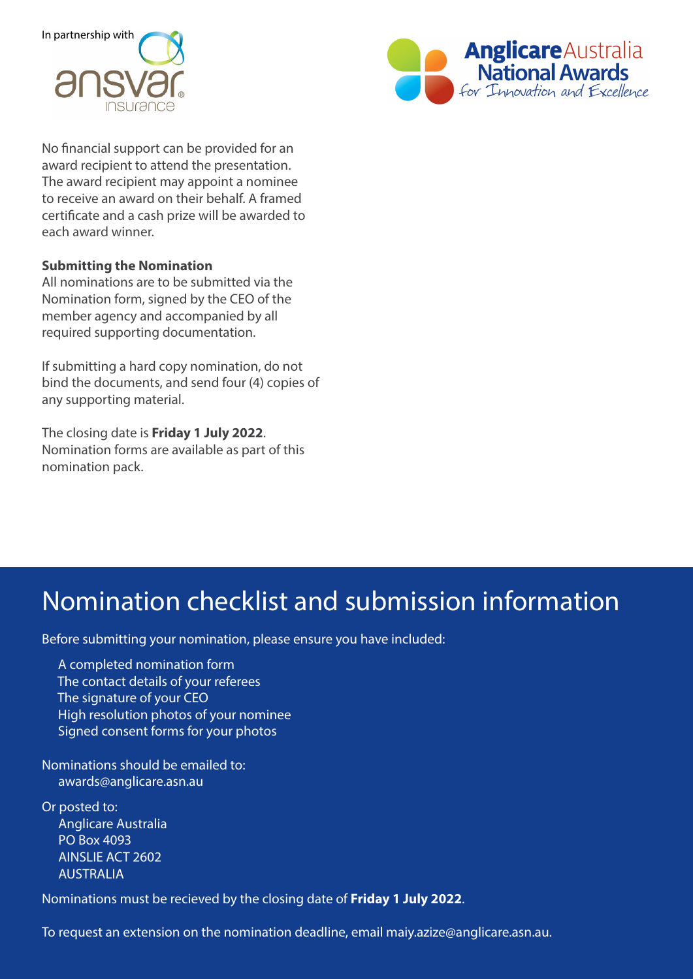



No financial support can be provided for an award recipient to attend the presentation. The award recipient may appoint a nominee to receive an award on their behalf. A framed certificate and a cash prize will be awarded to each award winner.

#### **Submitting the Nomination**

All nominations are to be submitted via the Nomination form, signed by the CEO of the member agency and accompanied by all required supporting documentation.

If submitting a hard copy nomination, do not bind the documents, and send four (4) copies of any supporting material.

The closing date is **Friday 1 July 2022**. Nomination forms are available as part of this nomination pack.

# Nomination checklist and submission information

Before submitting your nomination, please ensure you have included:

 A completed nomination form The contact details of your referees The signature of your CEO High resolution photos of your nominee Signed consent forms for your photos

Nominations should be emailed to: awards@anglicare.asn.au

Or posted to: Anglicare Australia PO Box 4093 AINSLIE ACT 2602 AUSTRALIA

Nominations must be recieved by the closing date of **Friday 1 July 2022**.

To request an extension on the nomination deadline, email maiy.azize@anglicare.asn.au.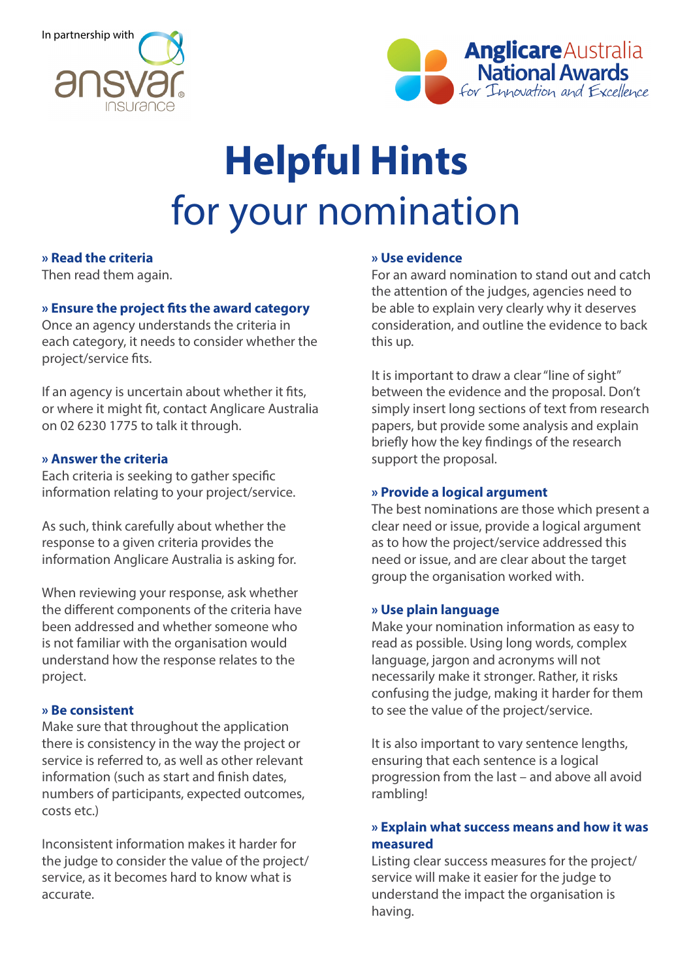



# **Helpful Hints** for your nomination

### **» Read the criteria**

Then read them again.

#### **» Ensure the project fits the award category**

Once an agency understands the criteria in each category, it needs to consider whether the project/service fits.

If an agency is uncertain about whether it fits, or where it might fit, contact Anglicare Australia on 02 6230 1775 to talk it through.

#### **» Answer the criteria**

Each criteria is seeking to gather specific information relating to your project/service.

As such, think carefully about whether the response to a given criteria provides the information Anglicare Australia is asking for.

When reviewing your response, ask whether the different components of the criteria have been addressed and whether someone who is not familiar with the organisation would understand how the response relates to the project.

#### **» Be consistent**

Make sure that throughout the application there is consistency in the way the project or service is referred to, as well as other relevant information (such as start and finish dates, numbers of participants, expected outcomes, costs etc.)

Inconsistent information makes it harder for the judge to consider the value of the project/ service, as it becomes hard to know what is accurate.

#### **» Use evidence**

For an award nomination to stand out and catch the attention of the judges, agencies need to be able to explain very clearly why it deserves consideration, and outline the evidence to back this up.

It is important to draw a clear "line of sight" between the evidence and the proposal. Don't simply insert long sections of text from research papers, but provide some analysis and explain briefly how the key findings of the research support the proposal.

#### **» Provide a logical argument**

The best nominations are those which present a clear need or issue, provide a logical argument as to how the project/service addressed this need or issue, and are clear about the target group the organisation worked with.

#### **» Use plain language**

Make your nomination information as easy to read as possible. Using long words, complex language, jargon and acronyms will not necessarily make it stronger. Rather, it risks confusing the judge, making it harder for them to see the value of the project/service.

It is also important to vary sentence lengths, ensuring that each sentence is a logical progression from the last – and above all avoid rambling!

# **» Explain what success means and how it was measured**

Listing clear success measures for the project/ service will make it easier for the judge to understand the impact the organisation is having.